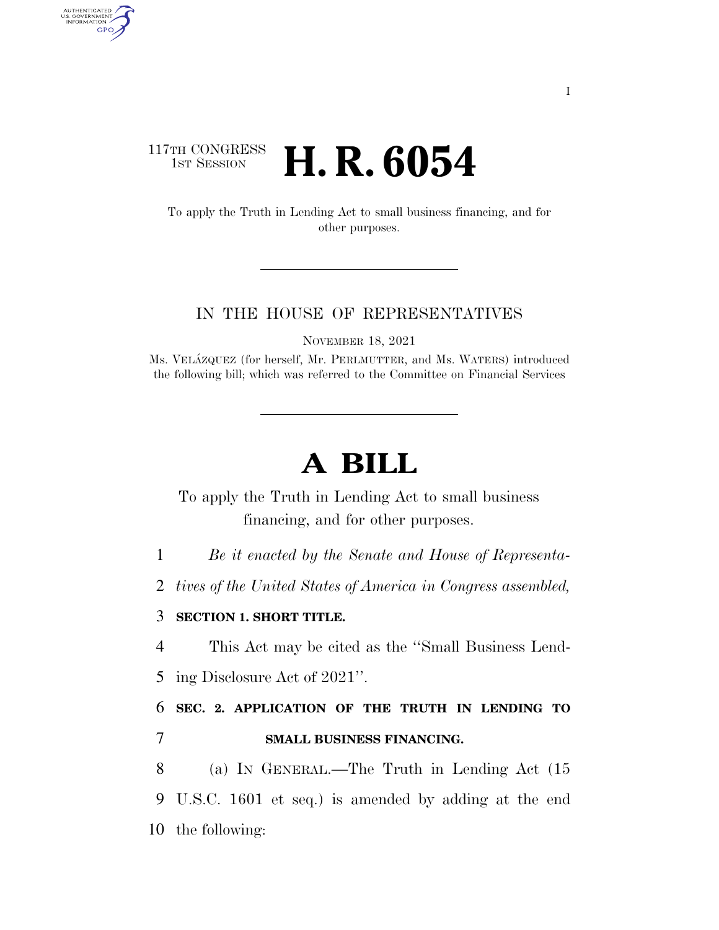## 117TH CONGRESS **1st Session H. R. 6054**

AUTHENTICATED<br>U.S. GOVERNMENT<br>INFORMATION **GPO** 

> To apply the Truth in Lending Act to small business financing, and for other purposes.

### IN THE HOUSE OF REPRESENTATIVES

NOVEMBER 18, 2021

Ms. VELA´ZQUEZ (for herself, Mr. PERLMUTTER, and Ms. WATERS) introduced the following bill; which was referred to the Committee on Financial Services

# **A BILL**

To apply the Truth in Lending Act to small business financing, and for other purposes.

1 *Be it enacted by the Senate and House of Representa-*

2 *tives of the United States of America in Congress assembled,* 

### 3 **SECTION 1. SHORT TITLE.**

4 This Act may be cited as the ''Small Business Lend-

5 ing Disclosure Act of 2021''.

6 **SEC. 2. APPLICATION OF THE TRUTH IN LENDING TO**  7 **SMALL BUSINESS FINANCING.** 

8 (a) IN GENERAL.—The Truth in Lending Act (15 9 U.S.C. 1601 et seq.) is amended by adding at the end 10 the following: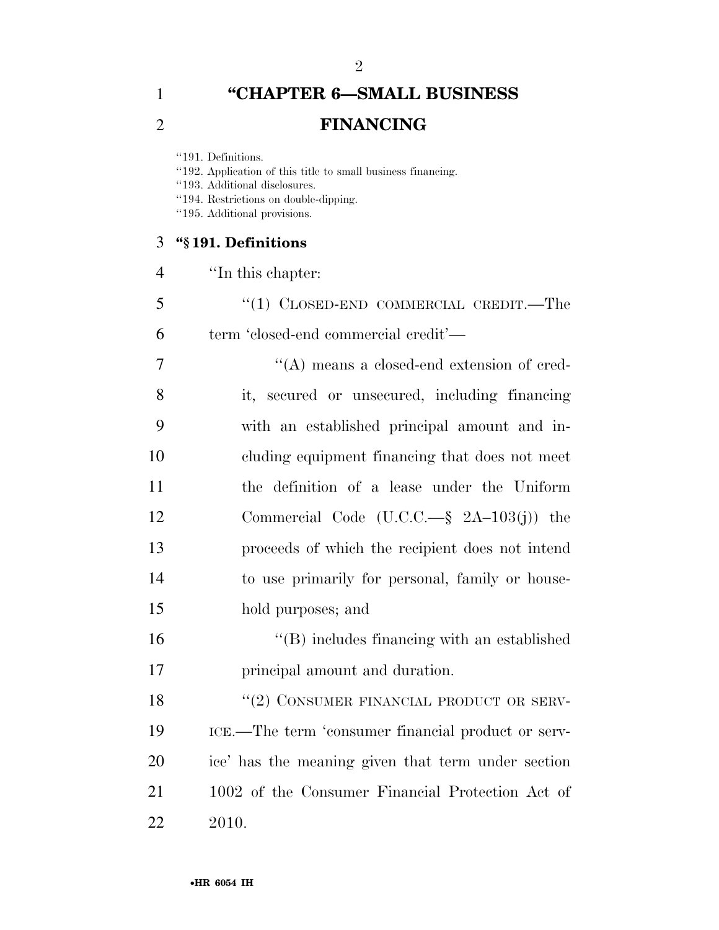## **''CHAPTER 6—SMALL BUSINESS FINANCING**

''191. Definitions.

''192. Application of this title to small business financing.

''193. Additional disclosures.

''194. Restrictions on double-dipping.

''195. Additional provisions.

### **''§ 191. Definitions**

- ''In this chapter:
- ''(1) CLOSED-END COMMERCIAL CREDIT.—The term 'closed-end commercial credit'—

 ''(A) means a closed-end extension of cred- it, secured or unsecured, including financing with an established principal amount and in- cluding equipment financing that does not meet the definition of a lease under the Uniform Commercial Code (U.C.C.—§ 2A–103(j)) the proceeds of which the recipient does not intend to use primarily for personal, family or house-hold purposes; and

 ''(B) includes financing with an established principal amount and duration.

18 "(2) CONSUMER FINANCIAL PRODUCT OR SERV- ICE.—The term 'consumer financial product or serv- ice' has the meaning given that term under section 1002 of the Consumer Financial Protection Act of 2010.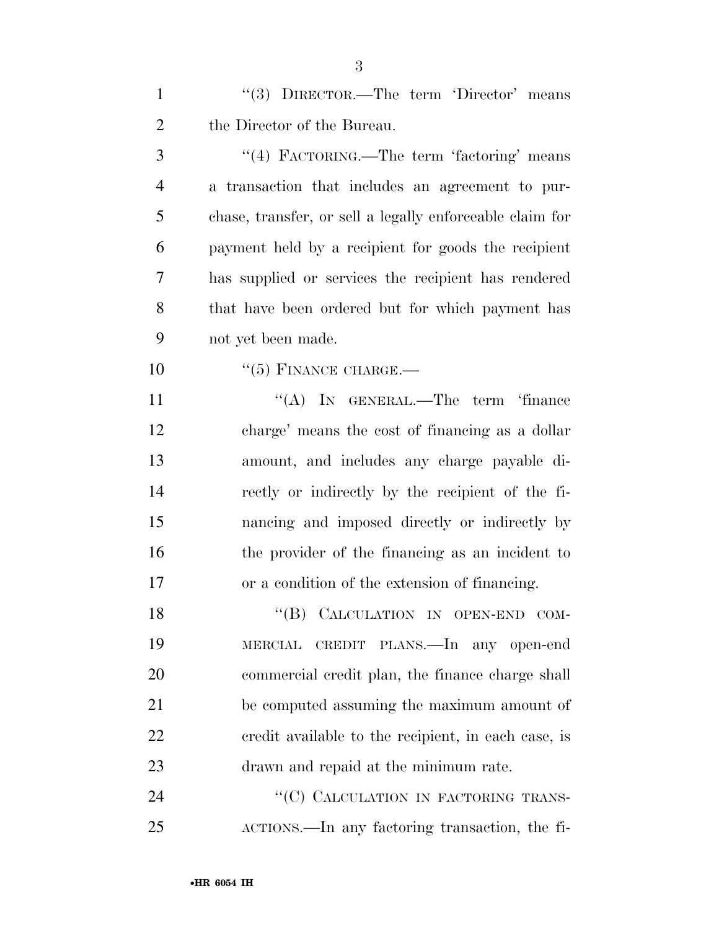1 ''(3) DIRECTOR.—The term 'Director' means the Director of the Bureau.

3 "(4) FACTORING.—The term 'factoring' means a transaction that includes an agreement to pur- chase, transfer, or sell a legally enforceable claim for payment held by a recipient for goods the recipient has supplied or services the recipient has rendered that have been ordered but for which payment has not yet been made.

10 "(5) FINANCE CHARGE.—

11 "(A) IN GENERAL.—The term 'finance charge' means the cost of financing as a dollar amount, and includes any charge payable di- rectly or indirectly by the recipient of the fi- nancing and imposed directly or indirectly by the provider of the financing as an incident to or a condition of the extension of financing.

18 "(B) CALCULATION IN OPEN-END COM- MERCIAL CREDIT PLANS.—In any open-end commercial credit plan, the finance charge shall be computed assuming the maximum amount of credit available to the recipient, in each case, is drawn and repaid at the minimum rate.

24 "(C) CALCULATION IN FACTORING TRANS-ACTIONS.—In any factoring transaction, the fi-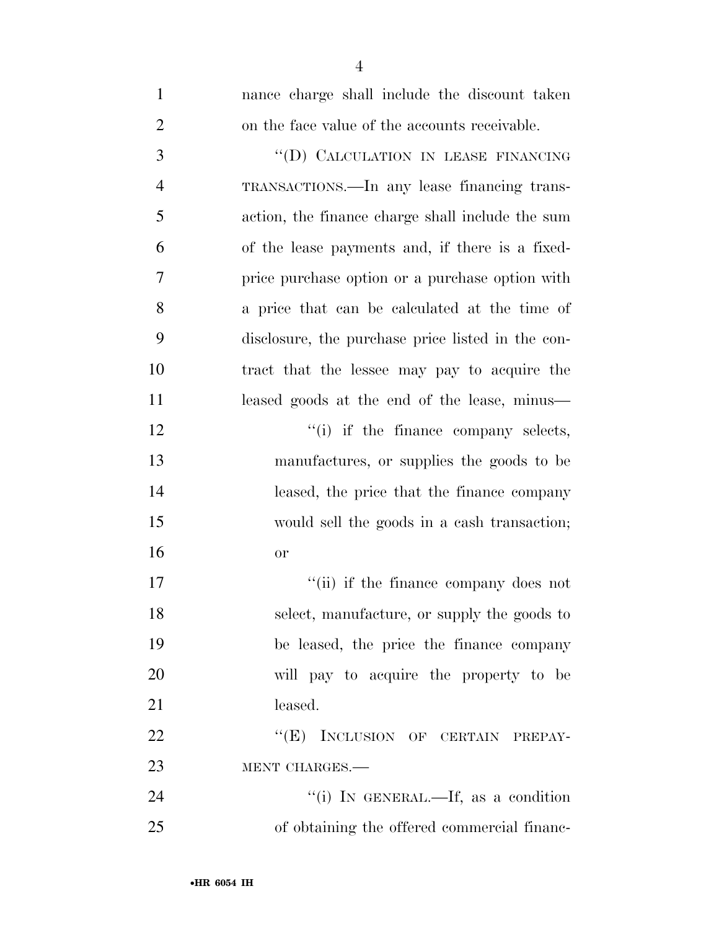| $\mathbf{1}$   | nance charge shall include the discount taken     |
|----------------|---------------------------------------------------|
| $\overline{2}$ | on the face value of the accounts receivable.     |
| 3              | "(D) CALCULATION IN LEASE FINANCING               |
| $\overline{4}$ | TRANSACTIONS.—In any lease financing trans-       |
| 5              | action, the finance charge shall include the sum  |
| 6              | of the lease payments and, if there is a fixed-   |
| $\overline{7}$ | price purchase option or a purchase option with   |
| 8              | a price that can be calculated at the time of     |
| 9              | disclosure, the purchase price listed in the con- |
| 10             | tract that the lessee may pay to acquire the      |
| 11             | leased goods at the end of the lease, minus—      |
| 12             | $f'(i)$ if the finance company selects,           |
| 13             | manufactures, or supplies the goods to be         |
| 14             | leased, the price that the finance company        |
| 15             | would sell the goods in a cash transaction;       |
| 16             | <b>or</b>                                         |
| 17             | "(ii) if the finance company does not             |
| 18             | select, manufacture, or supply the goods to       |
| 19             | be leased, the price the finance company          |
| 20             | will pay to acquire the property to be            |
| 21             | leased.                                           |
| 22             | "(E) INCLUSION OF CERTAIN PREPAY-                 |
| 23             | MENT CHARGES.-                                    |
| 24             | "(i) IN GENERAL.—If, as a condition               |
| 25             | of obtaining the offered commercial financ-       |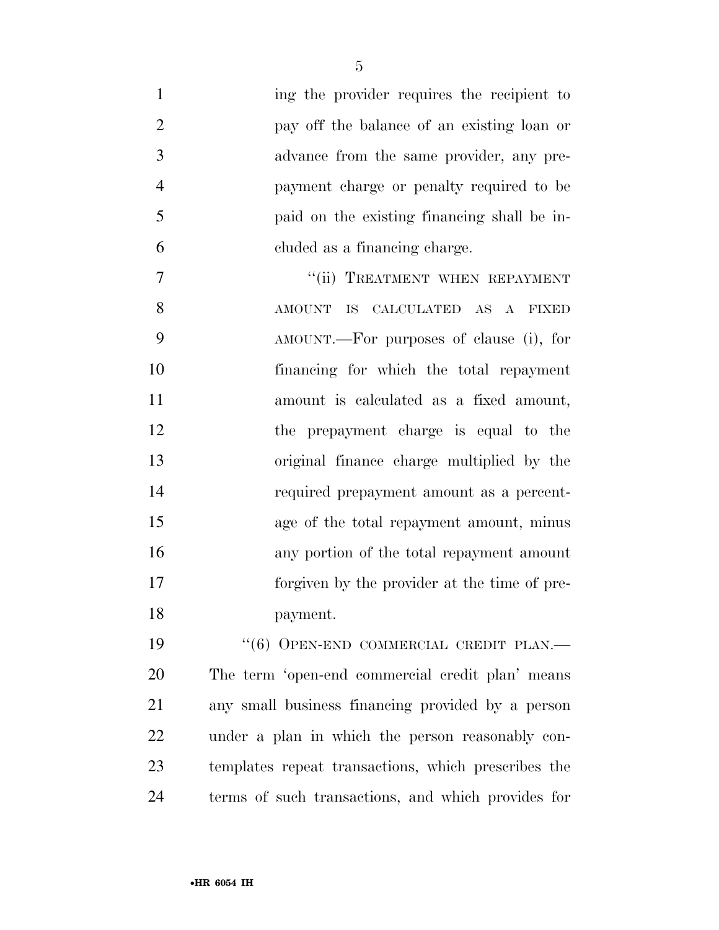| ing the provider requires the recipient to          |
|-----------------------------------------------------|
| pay off the balance of an existing loan or          |
| advance from the same provider, any pre-            |
| payment charge or penalty required to be            |
| paid on the existing financing shall be in-         |
| cluded as a financing charge.                       |
| "(ii) TREATMENT WHEN REPAYMENT                      |
| AMOUNT<br>IS CALCULATED AS A FIXED                  |
| AMOUNT.—For purposes of clause (i), for             |
| financing for which the total repayment             |
| amount is calculated as a fixed amount,             |
| the prepayment charge is equal to the               |
| original finance charge multiplied by the           |
| required prepayment amount as a percent-            |
| age of the total repayment amount, minus            |
| any portion of the total repayment amount           |
| forgiven by the provider at the time of pre-        |
| payment.                                            |
| $``(6)$ OPEN-END COMMERCIAL CREDIT PLAN.—           |
| The term 'open-end commercial credit plan' means    |
| any small business financing provided by a person   |
| under a plan in which the person reasonably con-    |
| templates repeat transactions, which prescribes the |
|                                                     |

terms of such transactions, and which provides for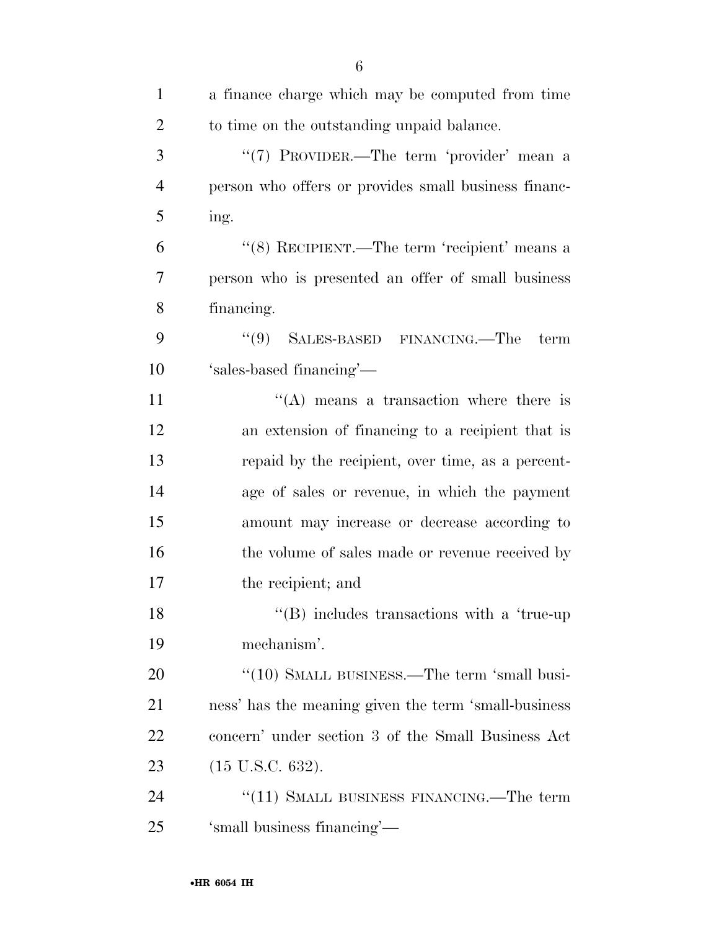| $\mathbf{1}$   | a finance charge which may be computed from time              |
|----------------|---------------------------------------------------------------|
| $\overline{2}$ | to time on the outstanding unpaid balance.                    |
| 3              | "(7) PROVIDER.—The term 'provider' mean a                     |
| $\overline{4}$ | person who offers or provides small business financ-          |
| 5              | ing.                                                          |
| 6              | "(8) RECIPIENT.—The term 'recipient' means a                  |
| 7              | person who is presented an offer of small business            |
| 8              | financing.                                                    |
| 9              | (9)<br>SALES-BASED FINANCING.—The<br>term                     |
| 10             | 'sales-based financing'—                                      |
| 11             | $\lq\lq$ means a transaction where there is                   |
| 12             | an extension of financing to a recipient that is              |
| 13             | repaid by the recipient, over time, as a percent-             |
| 14             | age of sales or revenue, in which the payment                 |
| 15             | amount may increase or decrease according to                  |
| 16             | the volume of sales made or revenue received by               |
| 17             | the recipient; and                                            |
| 18             | $\lq$ <sup>"</sup> (B) includes transactions with a 'true-up" |
| 19             | mechanism'.                                                   |
| 20             | "(10) SMALL BUSINESS.—The term 'small busi-                   |
| 21             | ness' has the meaning given the term 'small-business          |
| 22             | concern' under section 3 of the Small Business Act            |
| 23             | $(15 \text{ U.S.C. } 632).$                                   |
| 24             | "(11) SMALL BUSINESS FINANCING.—The term                      |
| 25             | 'small business financing'—                                   |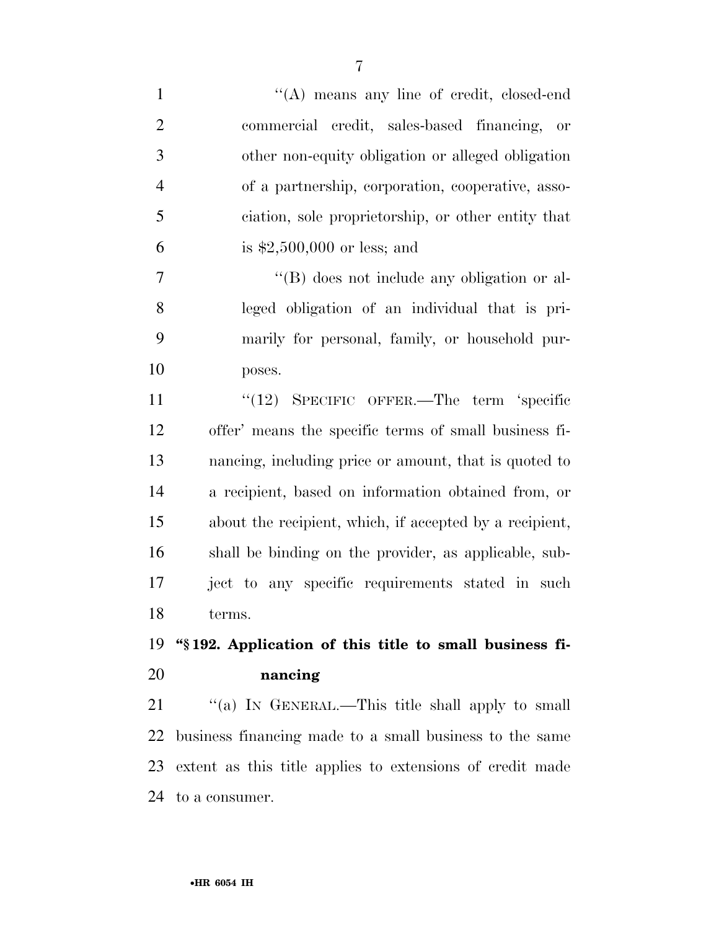1 ''(A) means any line of credit, closed-end commercial credit, sales-based financing, or other non-equity obligation or alleged obligation of a partnership, corporation, cooperative, asso- ciation, sole proprietorship, or other entity that is \$2,500,000 or less; and ''(B) does not include any obligation or al- leged obligation of an individual that is pri- marily for personal, family, or household pur- poses. 11 "(12) SPECIFIC OFFER.—The term 'specific offer' means the specific terms of small business fi- nancing, including price or amount, that is quoted to a recipient, based on information obtained from, or about the recipient, which, if accepted by a recipient, shall be binding on the provider, as applicable, sub- ject to any specific requirements stated in such terms. **''§ 192. Application of this title to small business fi-**

## **nancing**

21 "(a) IN GENERAL.—This title shall apply to small business financing made to a small business to the same extent as this title applies to extensions of credit made to a consumer.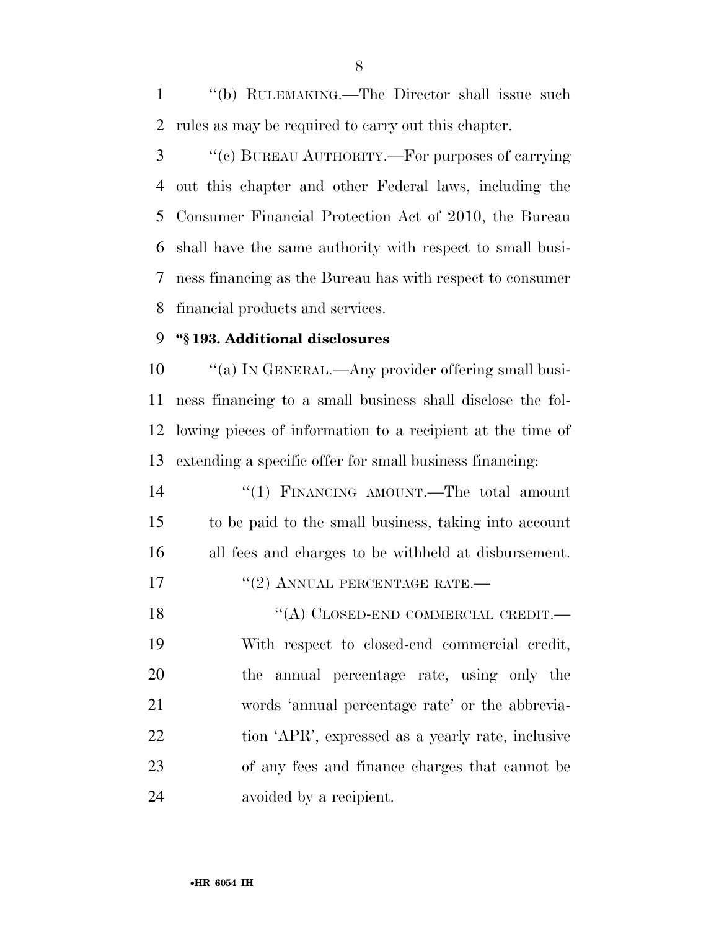''(b) RULEMAKING.—The Director shall issue such rules as may be required to carry out this chapter.

 ''(c) BUREAU AUTHORITY.—For purposes of carrying out this chapter and other Federal laws, including the Consumer Financial Protection Act of 2010, the Bureau shall have the same authority with respect to small busi- ness financing as the Bureau has with respect to consumer financial products and services.

### **''§ 193. Additional disclosures**

 $\qquad$  "(a) IN GENERAL.—Any provider offering small busi- ness financing to a small business shall disclose the fol- lowing pieces of information to a recipient at the time of extending a specific offer for small business financing:

 ''(1) FINANCING AMOUNT.—The total amount to be paid to the small business, taking into account all fees and charges to be withheld at disbursement.

17 <sup>''</sup>(2) ANNUAL PERCENTAGE RATE.—

18 "(A) CLOSED-END COMMERCIAL CREDIT.— With respect to closed-end commercial credit, the annual percentage rate, using only the words 'annual percentage rate' or the abbrevia-22 tion 'APR', expressed as a yearly rate, inclusive of any fees and finance charges that cannot be avoided by a recipient.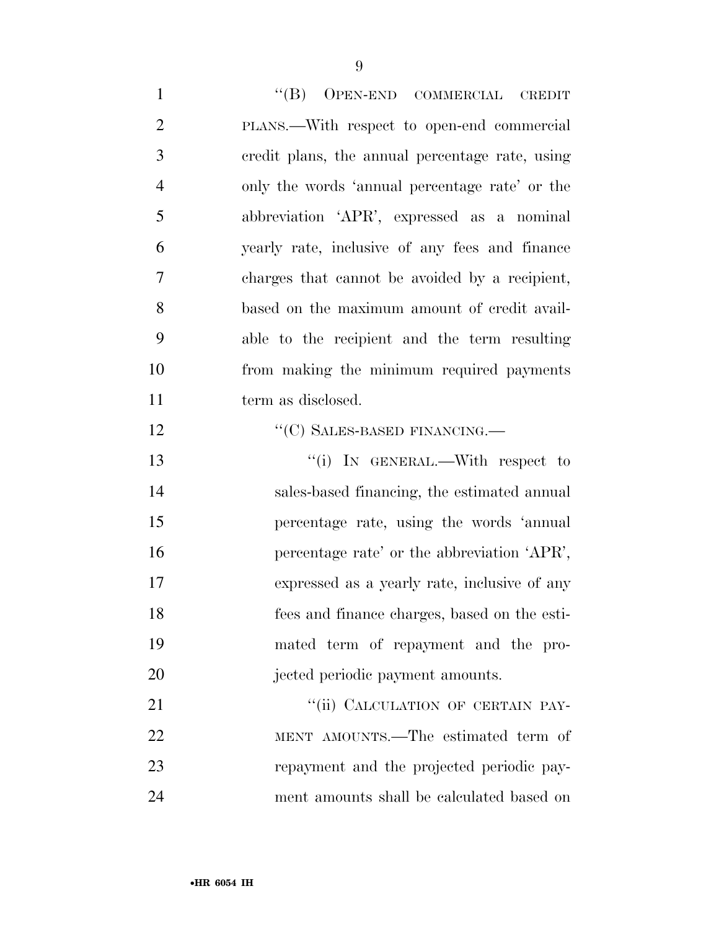1 ''(B) OPEN-END COMMERCIAL CREDIT PLANS.—With respect to open-end commercial credit plans, the annual percentage rate, using only the words 'annual percentage rate' or the abbreviation 'APR', expressed as a nominal yearly rate, inclusive of any fees and finance charges that cannot be avoided by a recipient, based on the maximum amount of credit avail- able to the recipient and the term resulting from making the minimum required payments 11 term as disclosed. 12 "(C) SALES-BASED FINANCING.— 13 '(i) In GENERAL.—With respect to sales-based financing, the estimated annual percentage rate, using the words 'annual percentage rate' or the abbreviation 'APR', expressed as a yearly rate, inclusive of any

20 jected periodic payment amounts. 21 ""(ii) CALCULATION OF CERTAIN PAY- MENT AMOUNTS.—The estimated term of repayment and the projected periodic pay-ment amounts shall be calculated based on

fees and finance charges, based on the esti-

mated term of repayment and the pro-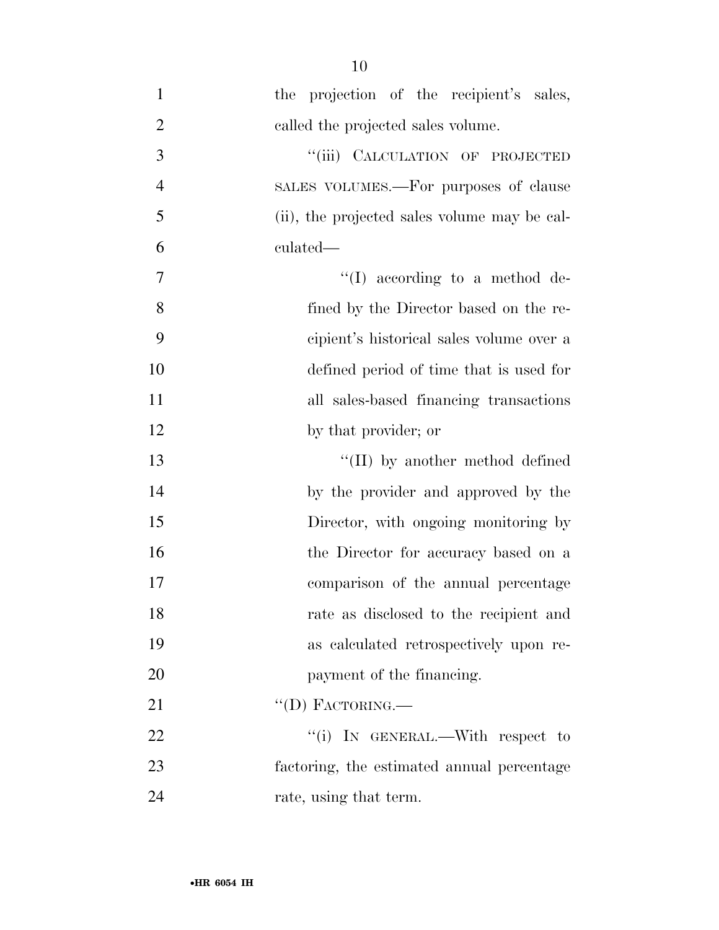1 the projection of the recipient's sales, 2 called the projected sales volume. 3 "(iii) CALCULATION OF PROJECTED SALES VOLUMES.—For purposes of clause (ii), the projected sales volume may be cal- culated—  $\text{``(I)} \text{ according to a method de-}$  fined by the Director based on the re- cipient's historical sales volume over a defined period of time that is used for all sales-based financing transactions 12 by that provider; or 13 ''(II) by another method defined by the provider and approved by the 15 Director, with ongoing monitoring by 16 the Director for accuracy based on a comparison of the annual percentage rate as disclosed to the recipient and as calculated retrospectively upon re-

20 payment of the financing.

22 "(i) IN GENERAL.—With respect to

23 factoring, the estimated annual percentage

21 "'(D) FACTORING.

24 rate, using that term.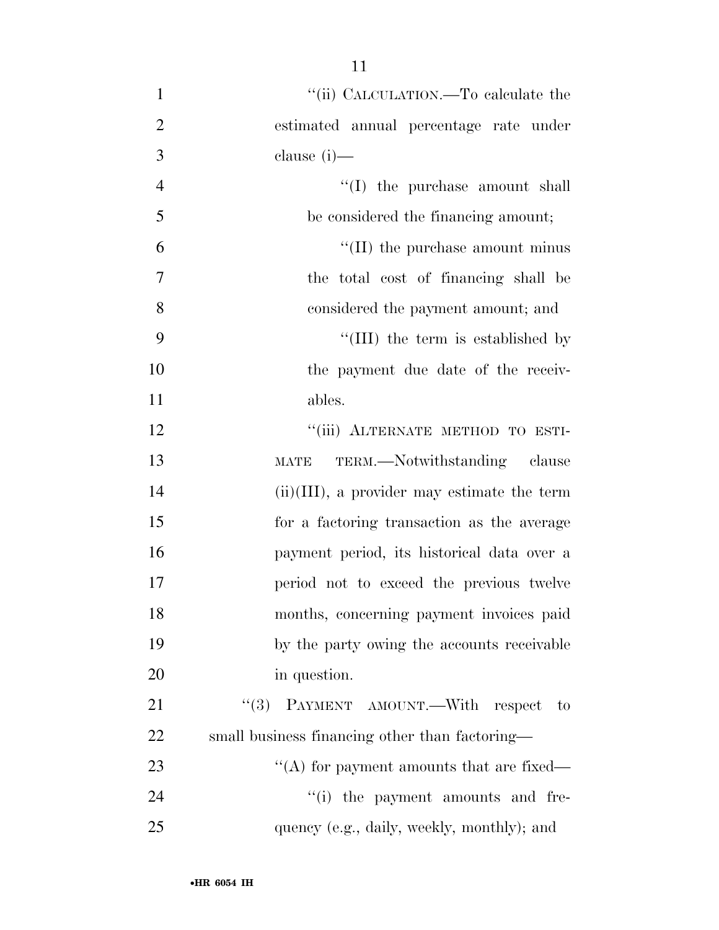| $\mathbf{1}$   | "(ii) CALCULATION.—To calculate the            |
|----------------|------------------------------------------------|
| $\overline{2}$ | estimated annual percentage rate under         |
| 3              | clause $(i)$ —                                 |
| $\overline{4}$ | $\lq\lq$ (I) the purchase amount shall         |
| 5              | be considered the financing amount;            |
| 6              | $\lq\lq$ (II) the purchase amount minus        |
| $\overline{7}$ | the total cost of financing shall be           |
| 8              | considered the payment amount; and             |
| 9              | "(III) the term is established by              |
| 10             | the payment due date of the receiv-            |
| 11             | ables.                                         |
| 12             | "(iii) ALTERNATE METHOD TO ESTI-               |
| 13             | MATE TERM.—Notwithstanding clause              |
| 14             | $(ii)(III)$ , a provider may estimate the term |
| 15             | for a factoring transaction as the average     |
| 16             | payment period, its historical data over a     |
| 17             | period not to exceed the previous twelve       |
| 18             | months, concerning payment invoices paid       |
| 19             | by the party owing the accounts receivable     |
| 20             | in question.                                   |
| 21             | (3)<br>PAYMENT AMOUNT.—With respect to         |
| 22             | small business financing other than factoring— |
| 23             | "(A) for payment amounts that are fixed—       |
| 24             | "(i) the payment amounts and fre-              |
| 25             | quency (e.g., daily, weekly, monthly); and     |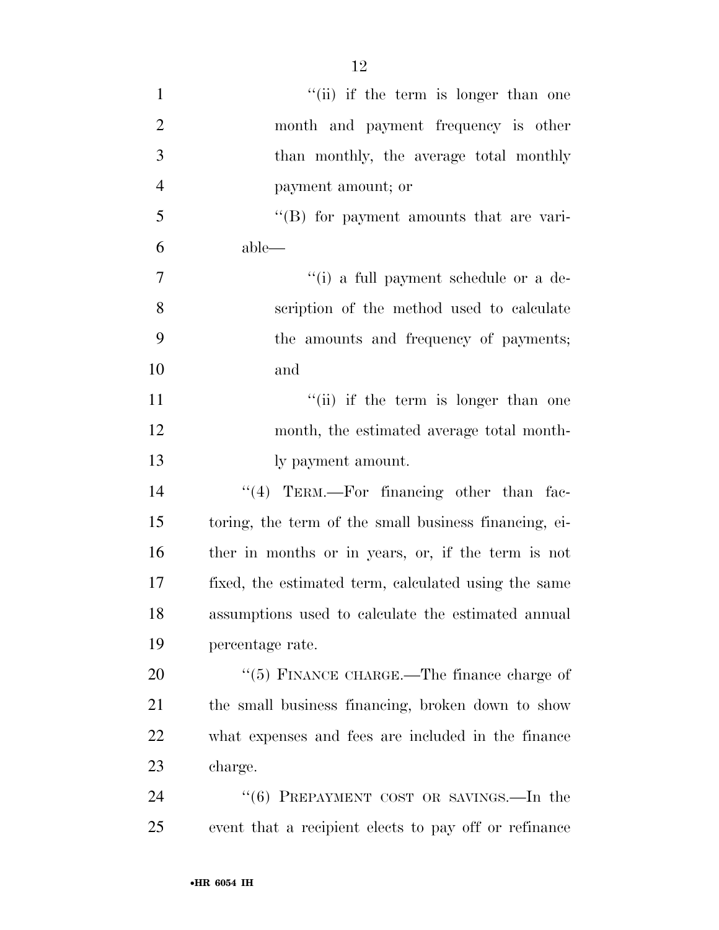| $\mathbf{1}$   | "(ii) if the term is longer than one                  |
|----------------|-------------------------------------------------------|
| $\mathbf{2}$   | month and payment frequency is other                  |
| 3              | than monthly, the average total monthly               |
| $\overline{4}$ | payment amount; or                                    |
| 5              | $\lq\lq$ for payment amounts that are vari-           |
| 6              | $able$ —                                              |
| $\overline{7}$ | "(i) a full payment schedule or a de-                 |
| 8              | scription of the method used to calculate             |
| 9              | the amounts and frequency of payments;                |
| 10             | and                                                   |
| 11             | "(ii) if the term is longer than one                  |
| 12             | month, the estimated average total month-             |
| 13             | ly payment amount.                                    |
| 14             | "(4) TERM.—For financing other than fac-              |
| 15             | toring, the term of the small business financing, ei- |
| 16             | ther in months or in years, or, if the term is not    |
| 17             | fixed, the estimated term, calculated using the same  |
| 18             | assumptions used to calculate the estimated annual    |
| 19             | percentage rate.                                      |
| 20             | "(5) FINANCE CHARGE.—The finance charge of            |
| 21             | the small business financing, broken down to show     |
| 22             | what expenses and fees are included in the finance    |
| 23             | charge.                                               |
| 24             | " $(6)$ PREPAYMENT COST OR SAVINGS.—In the            |
| 25             | event that a recipient elects to pay off or refinance |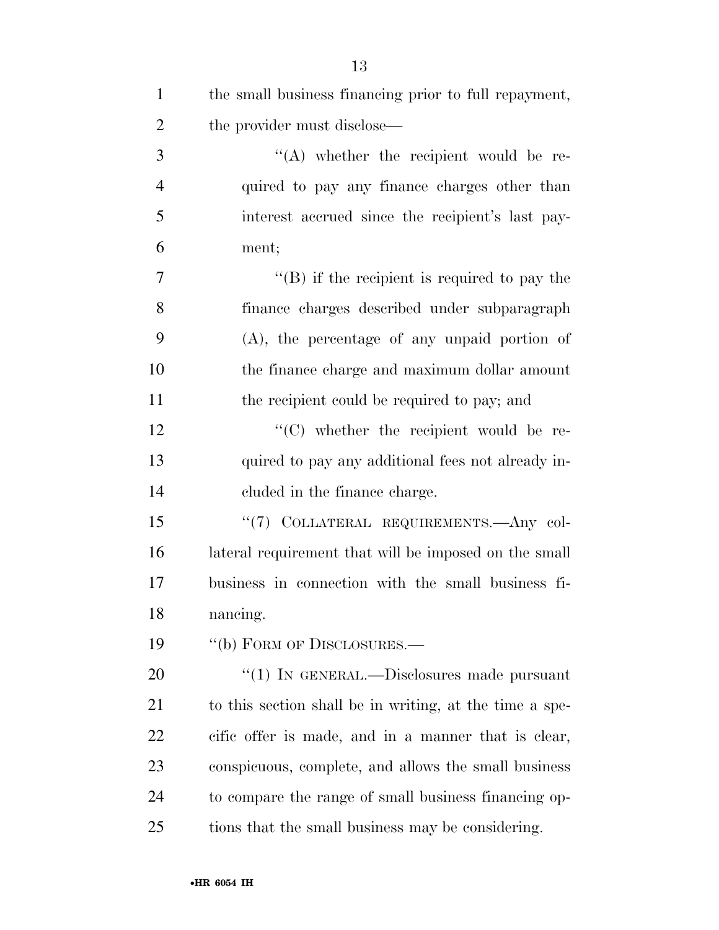| $\mathbf{1}$   | the small business financing prior to full repayment,   |
|----------------|---------------------------------------------------------|
| $\overline{2}$ | the provider must disclose—                             |
| 3              | $\lq\lq$ whether the recipient would be re-             |
| $\overline{4}$ | quired to pay any finance charges other than            |
| 5              | interest accrued since the recipient's last pay-        |
| 6              | ment;                                                   |
| 7              | $\lq\lq (B)$ if the recipient is required to pay the    |
| 8              | finance charges described under subparagraph            |
| 9              | $(A)$ , the percentage of any unpaid portion of         |
| 10             | the finance charge and maximum dollar amount            |
| 11             | the recipient could be required to pay; and             |
| 12             | $\lq\lq$ whether the recipient would be re-             |
| 13             | quired to pay any additional fees not already in-       |
| 14             | cluded in the finance charge.                           |
| 15             | "(7) COLLATERAL REQUIREMENTS. Any col-                  |
| 16             | lateral requirement that will be imposed on the small   |
| 17             | business in connection with the small business fi-      |
| 18             | nancing.                                                |
| 19             | "(b) FORM OF DISCLOSURES.-                              |
| 20             | " $(1)$ In GENERAL.—Disclosures made pursuant           |
| 21             | to this section shall be in writing, at the time a spe- |
| 22             | eific offer is made, and in a manner that is clear,     |
| 23             | conspicuous, complete, and allows the small business    |
| 24             | to compare the range of small business financing op-    |
| 25             | tions that the small business may be considering.       |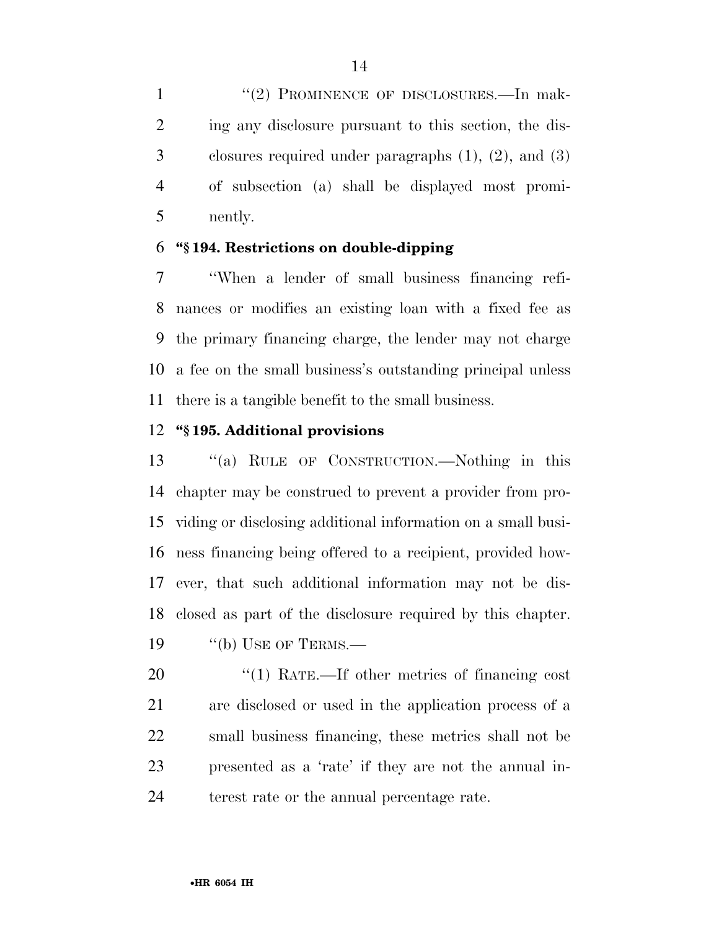1 "(2) PROMINENCE OF DISCLOSURES.—In mak- ing any disclosure pursuant to this section, the dis- closures required under paragraphs (1), (2), and (3) of subsection (a) shall be displayed most promi-nently.

### **''§ 194. Restrictions on double-dipping**

 ''When a lender of small business financing refi- nances or modifies an existing loan with a fixed fee as the primary financing charge, the lender may not charge a fee on the small business's outstanding principal unless there is a tangible benefit to the small business.

### **''§ 195. Additional provisions**

 ''(a) RULE OF CONSTRUCTION.—Nothing in this chapter may be construed to prevent a provider from pro- viding or disclosing additional information on a small busi- ness financing being offered to a recipient, provided how- ever, that such additional information may not be dis- closed as part of the disclosure required by this chapter. 19 "(b) USE OF TERMS.—

 $\frac{1}{2}$  (1) RATE.—If other metrics of financing cost are disclosed or used in the application process of a small business financing, these metrics shall not be presented as a 'rate' if they are not the annual in-terest rate or the annual percentage rate.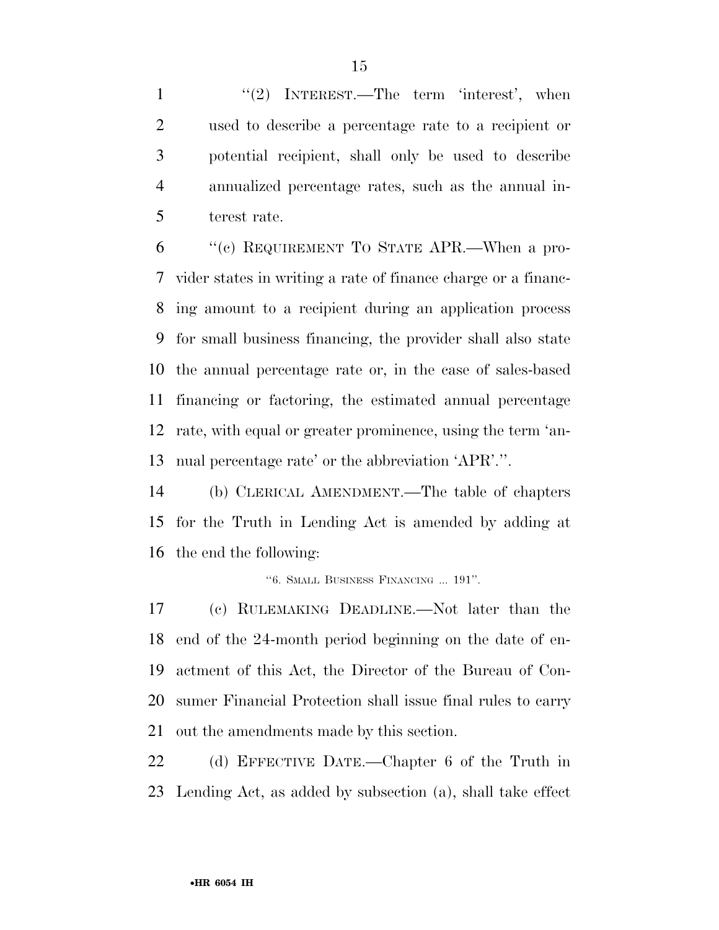1 "(2) INTEREST.—The term 'interest', when used to describe a percentage rate to a recipient or potential recipient, shall only be used to describe annualized percentage rates, such as the annual in-terest rate.

 ''(c) REQUIREMENT TO STATE APR.—When a pro- vider states in writing a rate of finance charge or a financ- ing amount to a recipient during an application process for small business financing, the provider shall also state the annual percentage rate or, in the case of sales-based financing or factoring, the estimated annual percentage rate, with equal or greater prominence, using the term 'an-nual percentage rate' or the abbreviation 'APR'.''.

 (b) CLERICAL AMENDMENT.—The table of chapters for the Truth in Lending Act is amended by adding at the end the following:

''6. SMALL BUSINESS FINANCING ... 191''.

 (c) RULEMAKING DEADLINE.—Not later than the end of the 24-month period beginning on the date of en- actment of this Act, the Director of the Bureau of Con- sumer Financial Protection shall issue final rules to carry out the amendments made by this section.

 (d) EFFECTIVE DATE.—Chapter 6 of the Truth in Lending Act, as added by subsection (a), shall take effect